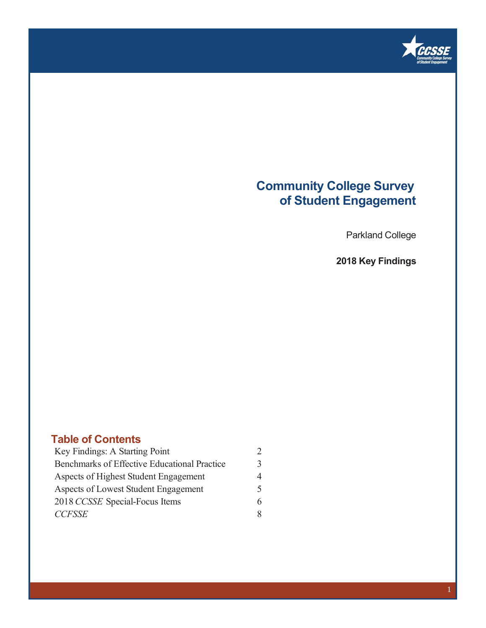

### **Community College Survey of Student Engagement**

Parkland College

**2018 Key Findings**

### **Table of Contents**

| Key Findings: A Starting Point               |   |
|----------------------------------------------|---|
| Benchmarks of Effective Educational Practice | 3 |
| Aspects of Highest Student Engagement        | 4 |
| Aspects of Lowest Student Engagement         | 5 |
| 2018 CCSSE Special-Focus Items               |   |
| <b>CCFSSE</b>                                | 8 |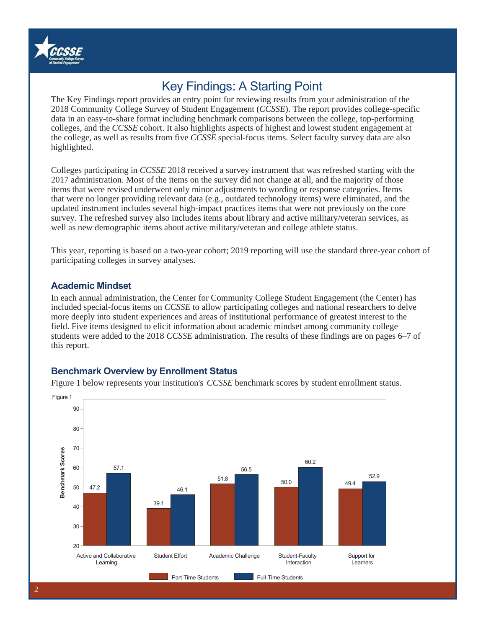

## Key Findings: A Starting Point

The Key Findings report provides an entry point for reviewing results from your administration of the 2018 Community College Survey of Student Engagement (*CCSSE*). The report provides college-specific data in an easy-to-share format including benchmark comparisons between the college, top-performing colleges, and the *CCSSE* cohort. It also highlights aspects of highest and lowest student engagement at the college, as well as results from five *CCSSE* special-focus items. Select faculty survey data are also highlighted.

Colleges participating in *CCSSE* 2018 received a survey instrument that was refreshed starting with the 2017 administration. Most of the items on the survey did not change at all, and the majority of those items that were revised underwent only minor adjustments to wording or response categories. Items that were no longer providing relevant data (e.g., outdated technology items) were eliminated, and the updated instrument includes several high-impact practices items that were not previously on the core survey. The refreshed survey also includes items about library and active military/veteran services, as well as new demographic items about active military/veteran and college athlete status.

This year, reporting is based on a two-year cohort; 2019 reporting will use the standard three-year cohort of participating colleges in survey analyses.

### **Academic Mindset**

In each annual administration, the Center for Community College Student Engagement (the Center) has included special-focus items on *CCSSE* to allow participating colleges and national researchers to delve more deeply into student experiences and areas of institutional performance of greatest interest to the field. Five items designed to elicit information about academic mindset among community college students were added to the 2018 *CCSSE* administration. The results of these findings are on pages 6–7 of this report.

### **Benchmark Overview by Enrollment Status**

Figure 1 below represents your institution's *CCSSE* benchmark scores by student enrollment status.

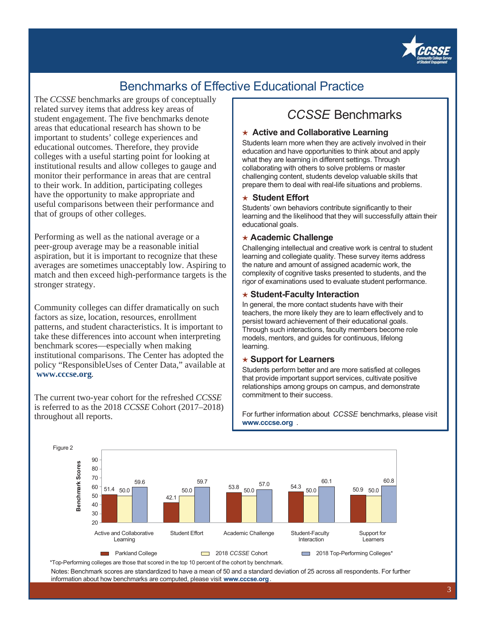

## Benchmarks of Effective Educational Practice

The *CCSSE* benchmarks are groups of conceptually related survey items that address key areas of student engagement. The five benchmarks denote areas that educational research has shown to be important to students' college experiences and educational outcomes. Therefore, they provide colleges with a useful starting point for looking at institutional results and allow colleges to gauge and monitor their performance in areas that are central to their work. In addition, participating colleges have the opportunity to make appropriate and useful comparisons between their performance and that of groups of other colleges.

Performing as well as the national average or a peer-group average may be a reasonable initial aspiration, but it is important to recognize that these averages are sometimes unacceptably low. Aspiring to match and then exceed high-performance targets is the stronger strategy.

Community colleges can differ dramatically on such factors as size, location, resources, enrollment patterns, and student characteristics. It is important to take these differences into account when interpreting benchmark scores—especially when making institutional comparisons. The Center has adopted the policy "ResponsibleUses of Center Data," available at  **www.cccse.org**.

The current two-year cohort for the refreshed *CCSSE* is referred to as the 2018 *CCSSE* Cohort (2017–2018) throughout all reports.

### *CCSSE* Benchmarks

#### ★ Active and Collaborative Learning

Students learn more when they are actively involved in their education and have opportunities to think about and apply what they are learning in different settings. Through collaborating with others to solve problems or master challenging content, students develop valuable skills that prepare them to deal with real-life situations and problems.

#### ഏ **Student Effort**

Students' own behaviors contribute significantly to their learning and the likelihood that they will successfully attain their educational goals.

#### ഏ **Academic Challenge**

Challenging intellectual and creative work is central to student learning and collegiate quality. These survey items address the nature and amount of assigned academic work, the complexity of cognitive tasks presented to students, and the rigor of examinations used to evaluate student performance.

#### **★ Student-Faculty Interaction**

In general, the more contact students have with their teachers, the more likely they are to learn effectively and to persist toward achievement of their educational goals. Through such interactions, faculty members become role models, mentors, and guides for continuous, lifelong learning.

#### ഏ **Support for Learners**

Students perform better and are more satisfied at colleges that provide important support services, cultivate positive relationships among groups on campus, and demonstrate commitment to their success.

For further information about *CCSSE* benchmarks, please visit **www.cccse.org** .



\*Top-Performing colleges are those that scored in the top 10 percent of the cohort by benchmark.

Notes: Benchmark scores are standardized to have a mean of 50 and a standard deviation of 25 across all respondents. For further information about how benchmarks are computed, please visit **www.cccse.org**.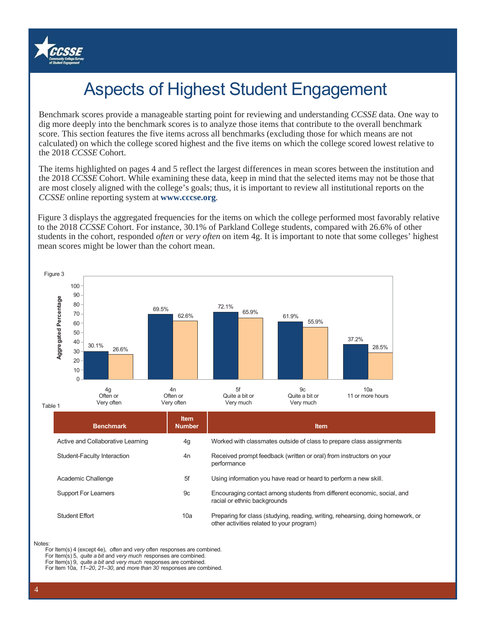

# Aspects of Highest Student Engagement

Benchmark scores provide a manageable starting point for reviewing and understanding *CCSSE* data. One way to dig more deeply into the benchmark scores is to analyze those items that contribute to the overall benchmark score. This section features the five items across all benchmarks (excluding those for which means are not calculated) on which the college scored highest and the five items on which the college scored lowest relative to the 2018 *CCSSE* Cohort.

The items highlighted on pages 4 and 5 reflect the largest differences in mean scores between the institution and the 2018 *CCSSE* Cohort. While examining these data, keep in mind that the selected items may not be those that are most closely aligned with the college's goals; thus, it is important to review all institutional reports on the *CCSSE* online reporting system at **www.cccse.org**.

Figure 3 displays the aggregated frequencies for the items on which the college performed most favorably relative to the 2018 *CCSSE* Cohort. For instance, 30.1% of Parkland College students, compared with 26.6% of other students in the cohort, responded *often* or *very often* on item 4g. It is important to note that some colleges' highest mean scores might be lower than the cohort mean.



#### **Notes**

For Item(s) 4 (except 4e), *often* and *very often* responses are combined.

For Item(s) 5, *quite a bit* and *very much* responses are combined.

For Item(s) 9, *quite a bit* and *very much* responses are combined.

For Item 10a, *11–20*, *21–30*, and *more than 30* responses are combined.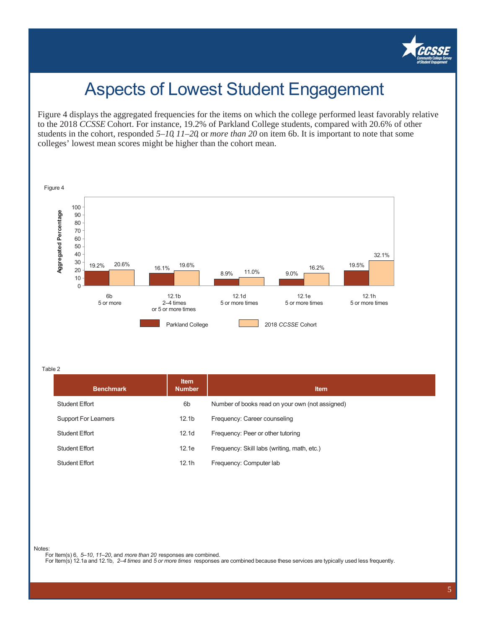

## Aspects of Lowest Student Engagement

Figure 4 displays the aggregated frequencies for the items on which the college performed least favorably relative to the 2018 *CCSSE* Cohort. For instance, 19.2% of Parkland College students, compared with 20.6% of other students in the cohort, responded *5–10*, *11–20*, or *more than 20* on item 6b. It is important to note that some colleges' lowest mean scores might be higher than the cohort mean.



Table 2

| <b>Benchmark</b>            | <b>Item</b><br><b>Number</b> | <b>Item</b>                                     |
|-----------------------------|------------------------------|-------------------------------------------------|
| <b>Student Effort</b>       | 6 <sub>b</sub>               | Number of books read on your own (not assigned) |
| <b>Support For Learners</b> | 12.1 <sub>b</sub>            | Frequency: Career counseling                    |
| <b>Student Effort</b>       | 12.1 <sub>d</sub>            | Frequency: Peer or other tutoring               |
| Student Effort              | 12.1e                        | Frequency: Skill labs (writing, math, etc.)     |
| <b>Student Effort</b>       | 12.1h                        | Frequency: Computer lab                         |

Notes:

For Item(s) 6, *5–10*, *11–20*, and *more than 20* responses are combined.

For Item(s) 12.1a and 12.1b, *2–4 times* and *5 or more times* responses are combined because these services are typically used less frequently.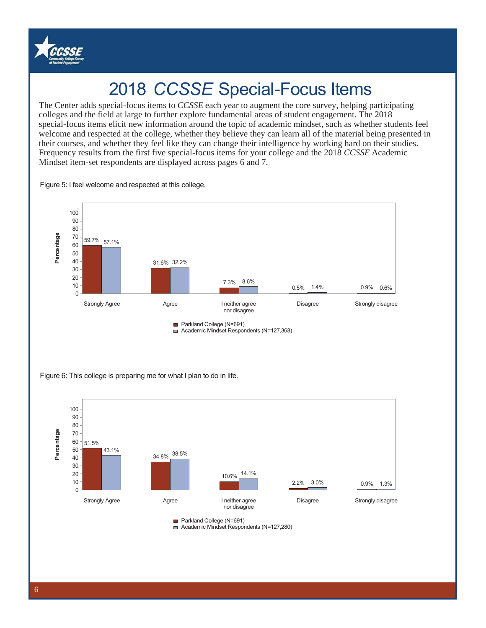

## 2018 *CCSSE* Special-Focus Items

'colleges and the field at large to further explore fundamental areas of student engagement. The 2018 special-focus items elicit new information around the topic of academic mindset, such as whether students feel The Center adds special-focus items to *CCSSE* each year to augment the core survey, helping participating welcome and respected at the college, whether they believe they can learn all of the material being presented in their courses, and whether they feel like they can change their intelligence by working hard on their studies. Frequency results from the first five special-focus items for your college and the 2018 *CCSSE* Academic Mindset item-set respondents are displayed across pages 6 and 7.

Figure 5: I feel welcome and respected at this college.



Figure 6: This college is preparing me for what I plan to do in life.



Academic Mindset Respondents (N=127,280)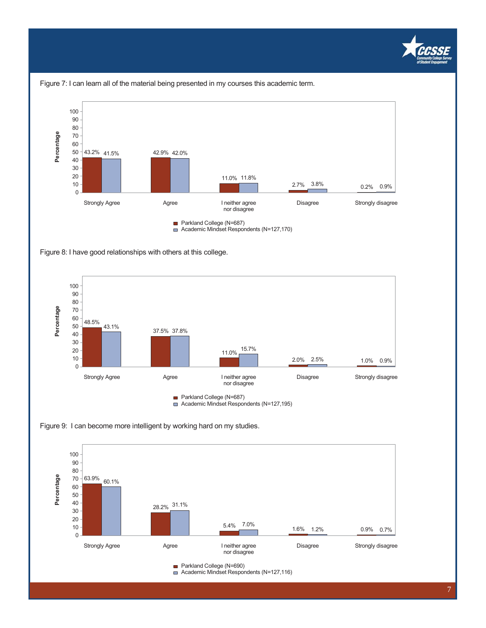





Figure 8: I have good relationships with others at this college.